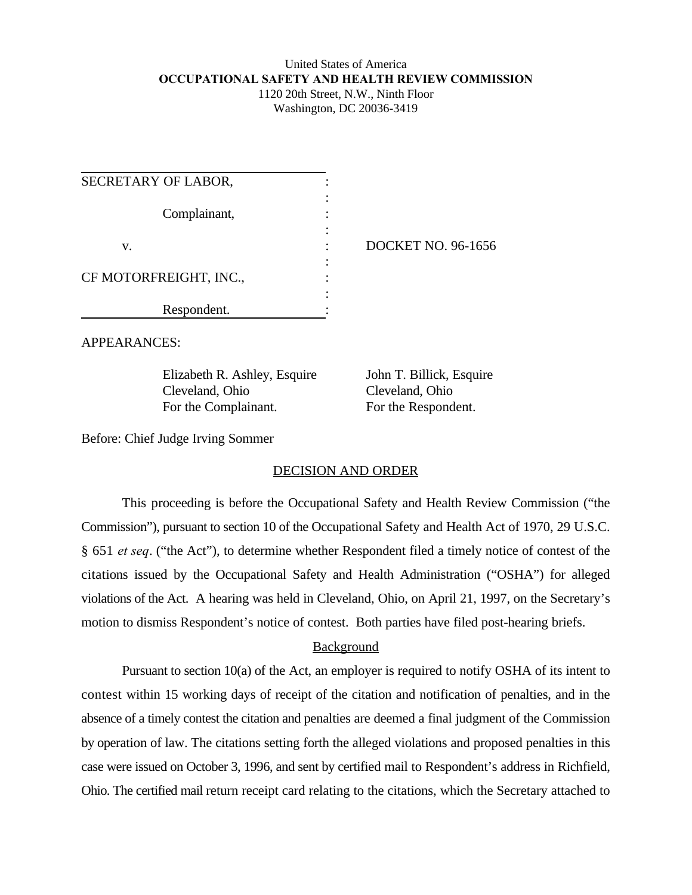### United States of America **OCCUPATIONAL SAFETY AND HEALTH REVIEW COMMISSION** 1120 20th Street, N.W., Ninth Floor Washington, DC 20036-3419

| SECRETARY OF LABOR,    |                           |
|------------------------|---------------------------|
| Complainant,           |                           |
| v.                     | <b>DOCKET NO. 96-1656</b> |
| CF MOTORFREIGHT, INC., |                           |
| Respondent.            |                           |

APPEARANCES:

Elizabeth R. Ashley, Esquire John T. Billick, Esquire Cleveland, Ohio Cleveland, Ohio For the Complainant. For the Respondent.

Before: Chief Judge Irving Sommer

# DECISION AND ORDER

This proceeding is before the Occupational Safety and Health Review Commission ("the Commission"), pursuant to section 10 of the Occupational Safety and Health Act of 1970, 29 U.S.C. § 651 *et seq*. ("the Act"), to determine whether Respondent filed a timely notice of contest of the citations issued by the Occupational Safety and Health Administration ("OSHA") for alleged violations of the Act. A hearing was held in Cleveland, Ohio, on April 21, 1997, on the Secretary's motion to dismiss Respondent's notice of contest. Both parties have filed post-hearing briefs.

# Background

Pursuant to section 10(a) of the Act, an employer is required to notify OSHA of its intent to contest within 15 working days of receipt of the citation and notification of penalties, and in the absence of a timely contest the citation and penalties are deemed a final judgment of the Commission by operation of law. The citations setting forth the alleged violations and proposed penalties in this case were issued on October 3, 1996, and sent by certified mail to Respondent's address in Richfield, Ohio. The certified mail return receipt card relating to the citations, which the Secretary attached to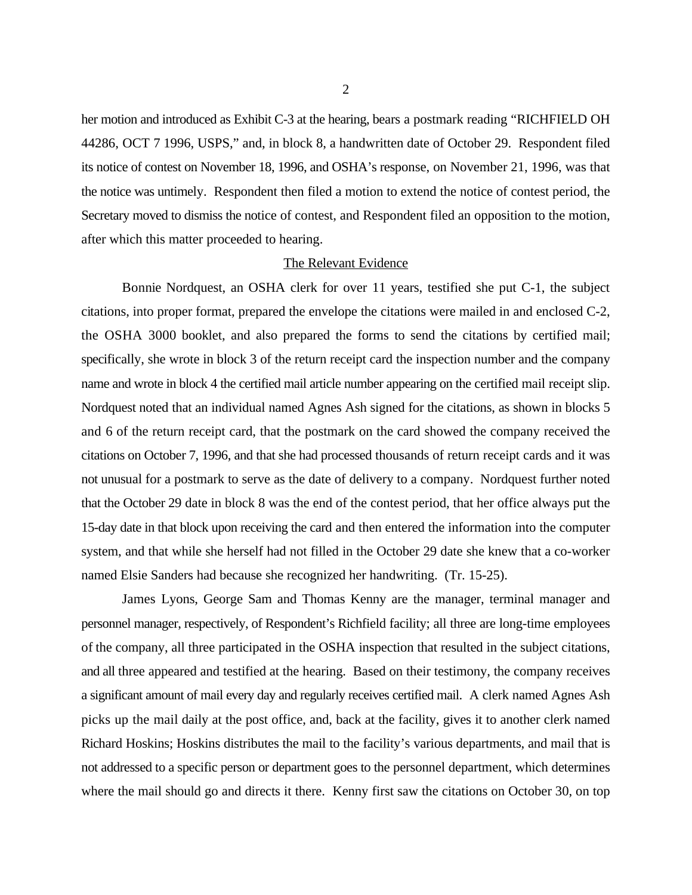her motion and introduced as Exhibit C-3 at the hearing, bears a postmark reading "RICHFIELD OH 44286, OCT 7 1996, USPS," and, in block 8, a handwritten date of October 29. Respondent filed its notice of contest on November 18, 1996, and OSHA's response, on November 21, 1996, was that the notice was untimely. Respondent then filed a motion to extend the notice of contest period, the Secretary moved to dismiss the notice of contest, and Respondent filed an opposition to the motion, after which this matter proceeded to hearing.

#### The Relevant Evidence

Bonnie Nordquest, an OSHA clerk for over 11 years, testified she put C-1, the subject citations, into proper format, prepared the envelope the citations were mailed in and enclosed C-2, the OSHA 3000 booklet, and also prepared the forms to send the citations by certified mail; specifically, she wrote in block 3 of the return receipt card the inspection number and the company name and wrote in block 4 the certified mail article number appearing on the certified mail receipt slip. Nordquest noted that an individual named Agnes Ash signed for the citations, as shown in blocks 5 and 6 of the return receipt card, that the postmark on the card showed the company received the citations on October 7, 1996, and that she had processed thousands of return receipt cards and it was not unusual for a postmark to serve as the date of delivery to a company. Nordquest further noted that the October 29 date in block 8 was the end of the contest period, that her office always put the 15-day date in that block upon receiving the card and then entered the information into the computer system, and that while she herself had not filled in the October 29 date she knew that a co-worker named Elsie Sanders had because she recognized her handwriting. (Tr. 15-25).

James Lyons, George Sam and Thomas Kenny are the manager, terminal manager and personnel manager, respectively, of Respondent's Richfield facility; all three are long-time employees of the company, all three participated in the OSHA inspection that resulted in the subject citations, and all three appeared and testified at the hearing. Based on their testimony, the company receives a significant amount of mail every day and regularly receives certified mail. A clerk named Agnes Ash picks up the mail daily at the post office, and, back at the facility, gives it to another clerk named Richard Hoskins; Hoskins distributes the mail to the facility's various departments, and mail that is not addressed to a specific person or department goes to the personnel department, which determines where the mail should go and directs it there. Kenny first saw the citations on October 30, on top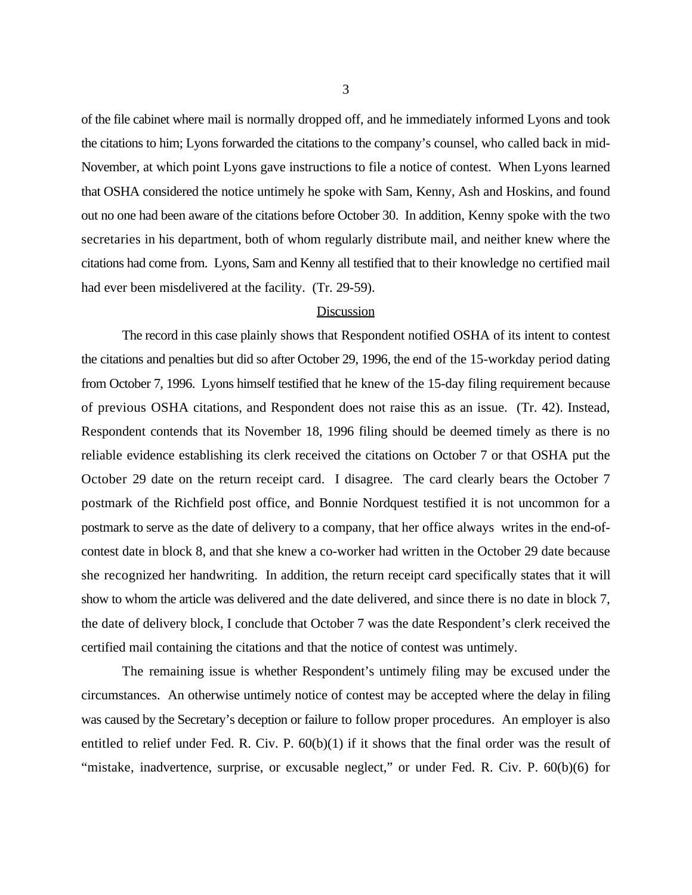of the file cabinet where mail is normally dropped off, and he immediately informed Lyons and took the citations to him; Lyons forwarded the citations to the company's counsel, who called back in mid-November, at which point Lyons gave instructions to file a notice of contest. When Lyons learned that OSHA considered the notice untimely he spoke with Sam, Kenny, Ash and Hoskins, and found out no one had been aware of the citations before October 30. In addition, Kenny spoke with the two secretaries in his department, both of whom regularly distribute mail, and neither knew where the citations had come from. Lyons, Sam and Kenny all testified that to their knowledge no certified mail had ever been misdelivered at the facility. (Tr. 29-59).

#### Discussion

The record in this case plainly shows that Respondent notified OSHA of its intent to contest the citations and penalties but did so after October 29, 1996, the end of the 15-workday period dating from October 7, 1996. Lyons himself testified that he knew of the 15-day filing requirement because of previous OSHA citations, and Respondent does not raise this as an issue. (Tr. 42). Instead, Respondent contends that its November 18, 1996 filing should be deemed timely as there is no reliable evidence establishing its clerk received the citations on October 7 or that OSHA put the October 29 date on the return receipt card. I disagree. The card clearly bears the October 7 postmark of the Richfield post office, and Bonnie Nordquest testified it is not uncommon for a postmark to serve as the date of delivery to a company, that her office always writes in the end-ofcontest date in block 8, and that she knew a co-worker had written in the October 29 date because she recognized her handwriting. In addition, the return receipt card specifically states that it will show to whom the article was delivered and the date delivered, and since there is no date in block 7, the date of delivery block, I conclude that October 7 was the date Respondent's clerk received the certified mail containing the citations and that the notice of contest was untimely.

The remaining issue is whether Respondent's untimely filing may be excused under the circumstances. An otherwise untimely notice of contest may be accepted where the delay in filing was caused by the Secretary's deception or failure to follow proper procedures. An employer is also entitled to relief under Fed. R. Civ. P.  $60(b)(1)$  if it shows that the final order was the result of "mistake, inadvertence, surprise, or excusable neglect," or under Fed. R. Civ. P. 60(b)(6) for